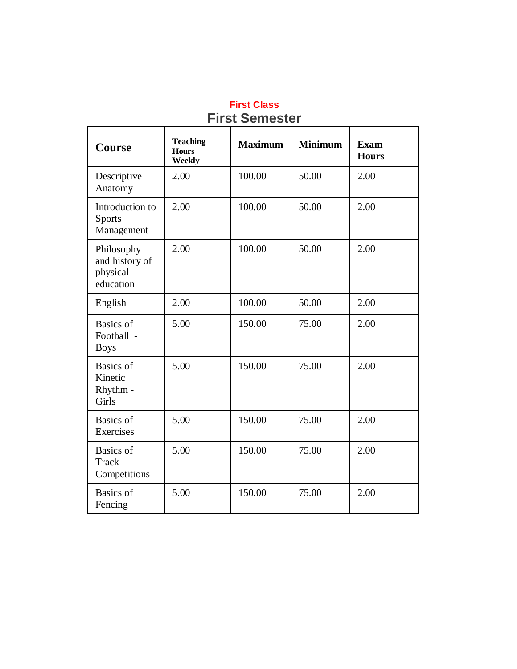| <b>Course</b>                                         | <b>Teaching</b><br><b>Hours</b><br>Weekly | <b>Maximum</b> | <b>Minimum</b> | <b>Exam</b><br><b>Hours</b> |
|-------------------------------------------------------|-------------------------------------------|----------------|----------------|-----------------------------|
| Descriptive<br>Anatomy                                | 2.00                                      | 100.00         | 50.00          | 2.00                        |
| Introduction to<br><b>Sports</b><br>Management        | 2.00                                      | 100.00         | 50.00          | 2.00                        |
| Philosophy<br>and history of<br>physical<br>education | 2.00                                      | 100.00         | 50.00          | 2.00                        |
| English                                               | 2.00                                      | 100.00         | 50.00          | 2.00                        |
| Basics of<br>Football -<br><b>Boys</b>                | 5.00                                      | 150.00         | 75.00          | 2.00                        |
| Basics of<br>Kinetic<br>Rhythm -<br>Girls             | 5.00                                      | 150.00         | 75.00          | 2.00                        |
| <b>Basics</b> of<br>Exercises                         | 5.00                                      | 150.00         | 75.00          | 2.00                        |
| <b>Basics</b> of<br><b>Track</b><br>Competitions      | 5.00                                      | 150.00         | 75.00          | 2.00                        |
| <b>Basics</b> of<br>Fencing                           | 5.00                                      | 150.00         | 75.00          | 2.00                        |

#### **First Class First Semester**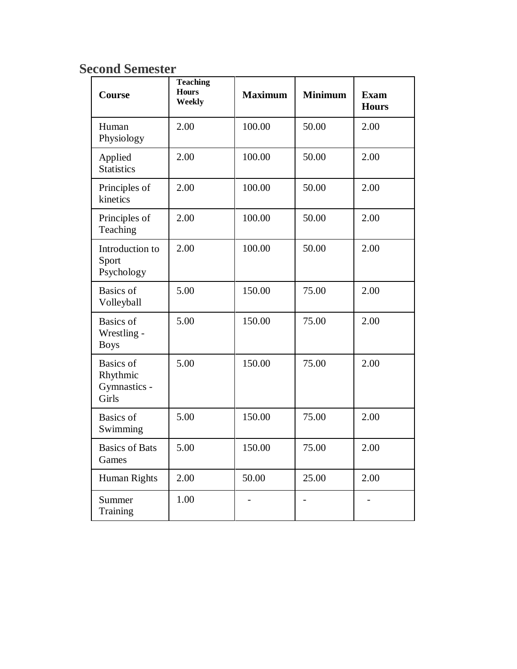| <b>Course</b>                                         | <b>Teaching</b><br><b>Hours</b><br>Weekly | <b>Maximum</b> | <b>Minimum</b> | <b>Exam</b><br><b>Hours</b> |
|-------------------------------------------------------|-------------------------------------------|----------------|----------------|-----------------------------|
| Human<br>Physiology                                   | 2.00                                      | 100.00         | 50.00          | 2.00                        |
| Applied<br><b>Statistics</b>                          | 2.00                                      | 100.00         | 50.00          | 2.00                        |
| Principles of<br>kinetics                             | 2.00                                      | 100.00         | 50.00          | 2.00                        |
| Principles of<br>Teaching                             | 2.00                                      | 100.00         | 50.00          | 2.00                        |
| Introduction to<br>Sport<br>Psychology                | 2.00                                      | 100.00         | 50.00          | 2.00                        |
| <b>Basics</b> of<br>Volleyball                        | 5.00                                      | 150.00         | 75.00          | 2.00                        |
| <b>Basics</b> of<br>Wrestling -<br><b>Boys</b>        | 5.00                                      | 150.00         | 75.00          | 2.00                        |
| <b>Basics</b> of<br>Rhythmic<br>Gymnastics -<br>Girls | 5.00                                      | 150.00         | 75.00          | 2.00                        |
| <b>Basics</b> of<br>Swimming                          | 5.00                                      | 150.00         | 75.00          | 2.00                        |
| <b>Basics of Bats</b><br>Games                        | 5.00                                      | 150.00         | 75.00          | 2.00                        |
| Human Rights                                          | 2.00                                      | 50.00          | 25.00          | 2.00                        |
| Summer<br>Training                                    | 1.00                                      |                |                |                             |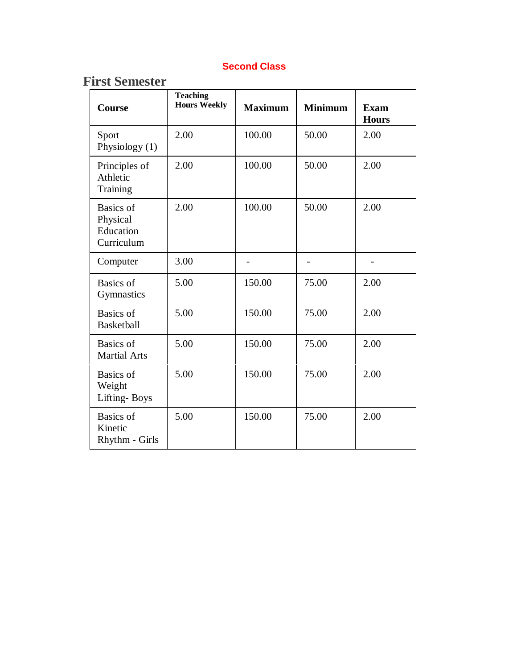#### **Second Class**

| <b>Course</b>                                           | <b>Teaching</b><br><b>Hours Weekly</b> | <b>Maximum</b> | <b>Minimum</b> | <b>Exam</b><br><b>Hours</b> |
|---------------------------------------------------------|----------------------------------------|----------------|----------------|-----------------------------|
| Sport<br>Physiology (1)                                 | 2.00                                   | 100.00         | 50.00          | 2.00                        |
| Principles of<br>Athletic<br>Training                   | 2.00                                   | 100.00         | 50.00          | 2.00                        |
| <b>Basics</b> of<br>Physical<br>Education<br>Curriculum | 2.00                                   | 100.00         | 50.00          | 2.00                        |
| Computer                                                | 3.00                                   |                |                | -                           |
| <b>Basics</b> of<br>Gymnastics                          | 5.00                                   | 150.00         | 75.00          | 2.00                        |
| <b>Basics</b> of<br><b>Basketball</b>                   | 5.00                                   | 150.00         | 75.00          | 2.00                        |
| <b>Basics</b> of<br><b>Martial Arts</b>                 | 5.00                                   | 150.00         | 75.00          | 2.00                        |
| <b>Basics</b> of<br>Weight<br>Lifting-Boys              | 5.00                                   | 150.00         | 75.00          | 2.00                        |
| <b>Basics</b> of<br>Kinetic<br>Rhythm - Girls           | 5.00                                   | 150.00         | 75.00          | 2.00                        |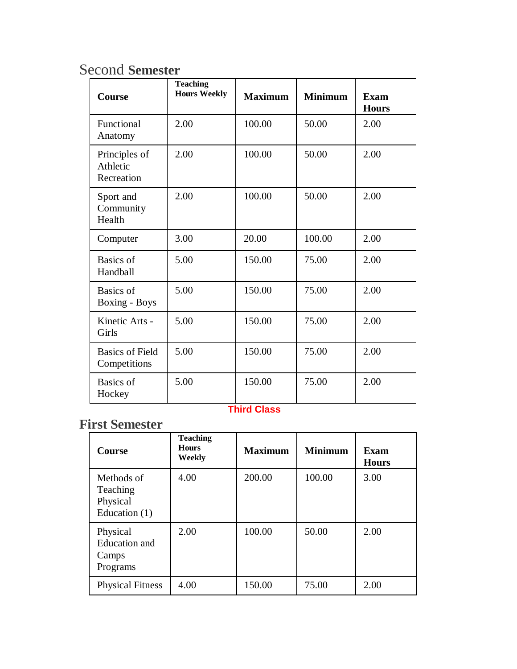| Course                                  | <b>Teaching</b><br><b>Hours Weekly</b> | <b>Maximum</b> | <b>Minimum</b> | <b>Exam</b><br><b>Hours</b> |
|-----------------------------------------|----------------------------------------|----------------|----------------|-----------------------------|
| Functional<br>Anatomy                   | 2.00                                   | 100.00         | 50.00          | 2.00                        |
| Principles of<br>Athletic<br>Recreation | 2.00                                   | 100.00         | 50.00          | 2.00                        |
| Sport and<br>Community<br>Health        | 2.00                                   | 100.00         | 50.00          | 2.00                        |
| Computer                                | 3.00                                   | 20.00          | 100.00         | 2.00                        |
| Basics of<br>Handball                   | 5.00                                   | 150.00         | 75.00          | 2.00                        |
| Basics of<br><b>Boxing - Boys</b>       | 5.00                                   | 150.00         | 75.00          | 2.00                        |
| Kinetic Arts -<br>Girls                 | 5.00                                   | 150.00         | 75.00          | 2.00                        |
| <b>Basics of Field</b><br>Competitions  | 5.00                                   | 150.00         | 75.00          | 2.00                        |
| <b>Basics</b> of<br>Hockey              | 5.00                                   | 150.00         | 75.00          | 2.00                        |

#### **Third Class**

| <b>Course</b>                                         | <b>Teaching</b><br><b>Hours</b><br>Weekly | <b>Maximum</b> | <b>Minimum</b> | Exam<br><b>Hours</b> |
|-------------------------------------------------------|-------------------------------------------|----------------|----------------|----------------------|
| Methods of<br>Teaching<br>Physical<br>Education $(1)$ | 4.00                                      | 200.00         | 100.00         | 3.00                 |
| Physical<br><b>Education</b> and<br>Camps<br>Programs | 2.00                                      | 100.00         | 50.00          | 2.00                 |
| <b>Physical Fitness</b>                               | 4.00                                      | 150.00         | 75.00          | 2.00                 |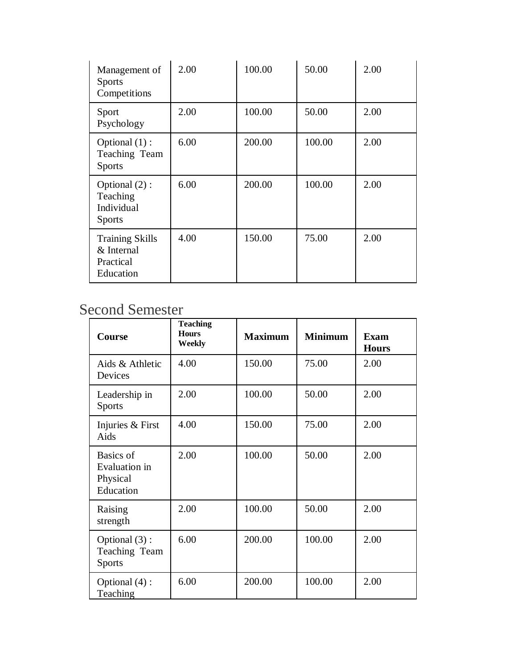| Management of<br><b>Sports</b><br>Competitions                 | 2.00 | 100.00 | 50.00  | 2.00 |
|----------------------------------------------------------------|------|--------|--------|------|
| Sport<br>Psychology                                            | 2.00 | 100.00 | 50.00  | 2.00 |
| Optional $(1)$ :<br>Teaching Team<br><b>Sports</b>             | 6.00 | 200.00 | 100.00 | 2.00 |
| Optional (2) :<br>Teaching<br>Individual<br><b>Sports</b>      | 6.00 | 200.00 | 100.00 | 2.00 |
| <b>Training Skills</b><br>& Internal<br>Practical<br>Education | 4.00 | 150.00 | 75.00  | 2.00 |

| Course                                              | <b>Teaching</b><br><b>Hours</b><br>Weekly | <b>Maximum</b> | <b>Minimum</b> | <b>Exam</b><br><b>Hours</b> |
|-----------------------------------------------------|-------------------------------------------|----------------|----------------|-----------------------------|
| Aids & Athletic<br>Devices                          | 4.00                                      | 150.00         | 75.00          | 2.00                        |
| Leadership in<br><b>Sports</b>                      | 2.00                                      | 100.00         | 50.00          | 2.00                        |
| Injuries & First<br>Aids                            | 4.00                                      | 150.00         | 75.00          | 2.00                        |
| Basics of<br>Evaluation in<br>Physical<br>Education | 2.00                                      | 100.00         | 50.00          | 2.00                        |
| Raising<br>strength                                 | 2.00                                      | 100.00         | 50.00          | 2.00                        |
| Optional (3):<br>Teaching Team<br><b>Sports</b>     | 6.00                                      | 200.00         | 100.00         | 2.00                        |
| Optional (4):<br>Teaching                           | 6.00                                      | 200.00         | 100.00         | 2.00                        |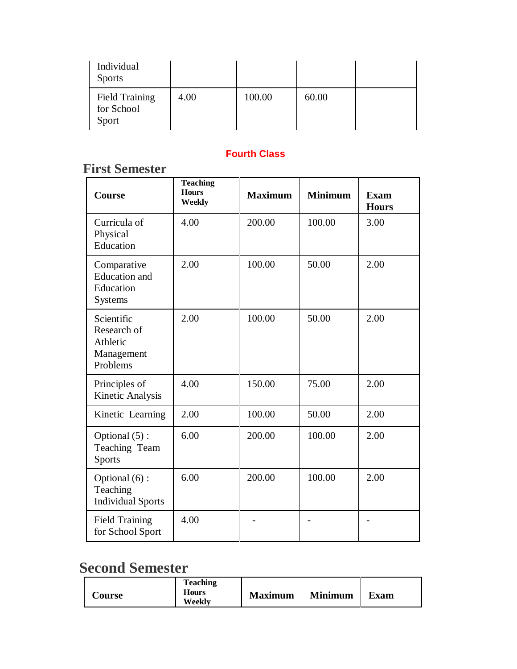| Individual<br><b>Sports</b>                  |      |        |       |  |
|----------------------------------------------|------|--------|-------|--|
| <b>Field Training</b><br>for School<br>Sport | 4.00 | 100.00 | 60.00 |  |

#### **First Semester**

| <b>Course</b>                                                      | <b>Teaching</b><br><b>Hours</b><br>Weekly | <b>Maximum</b> | <b>Minimum</b> | <b>Exam</b><br><b>Hours</b> |
|--------------------------------------------------------------------|-------------------------------------------|----------------|----------------|-----------------------------|
| Curricula of<br>Physical<br>Education                              | 4.00                                      | 200.00         | 100.00         | 3.00                        |
| Comparative<br><b>Education</b> and<br>Education<br><b>Systems</b> | 2.00                                      | 100.00         | 50.00          | 2.00                        |
| Scientific<br>Research of<br>Athletic<br>Management<br>Problems    | 2.00                                      | 100.00         | 50.00          | 2.00                        |
| Principles of<br>Kinetic Analysis                                  | 4.00                                      | 150.00         | 75.00          | 2.00                        |
| Kinetic Learning                                                   | 2.00                                      | 100.00         | 50.00          | 2.00                        |
| Optional (5):<br>Teaching Team<br><b>Sports</b>                    | 6.00                                      | 200.00         | 100.00         | 2.00                        |
| Optional (6):<br>Teaching<br><b>Individual Sports</b>              | 6.00                                      | 200.00         | 100.00         | 2.00                        |
| <b>Field Training</b><br>for School Sport                          | 4.00                                      |                |                |                             |

| <b>Teaching</b><br><b>Hours</b><br><b>Course</b><br>Weekly | <b>Maximum</b> | <b>Minimum</b> | <b>Exam</b> |
|------------------------------------------------------------|----------------|----------------|-------------|
|------------------------------------------------------------|----------------|----------------|-------------|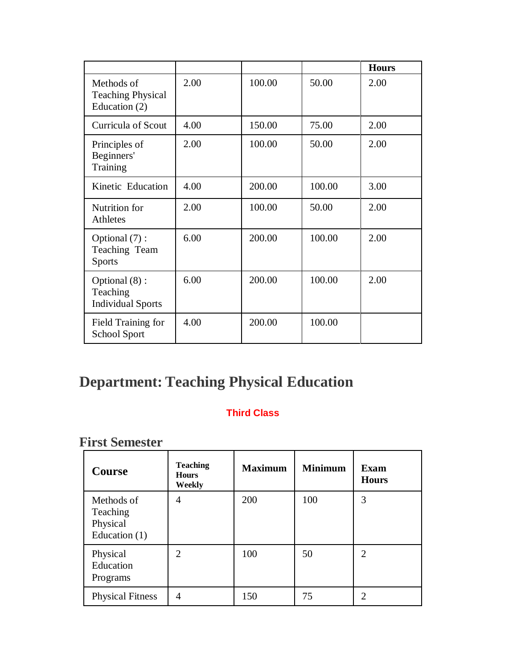|                                                         |      |        |        | <b>Hours</b> |
|---------------------------------------------------------|------|--------|--------|--------------|
| Methods of<br><b>Teaching Physical</b><br>Education (2) | 2.00 | 100.00 | 50.00  | 2.00         |
| Curricula of Scout                                      | 4.00 | 150.00 | 75.00  | 2.00         |
| Principles of<br>Beginners'<br>Training                 | 2.00 | 100.00 | 50.00  | 2.00         |
| Kinetic Education                                       | 4.00 | 200.00 | 100.00 | 3.00         |
| Nutrition for<br>Athletes                               | 2.00 | 100.00 | 50.00  | 2.00         |
| Optional (7):<br>Teaching Team<br><b>Sports</b>         | 6.00 | 200.00 | 100.00 | 2.00         |
| Optional (8):<br>Teaching<br><b>Individual Sports</b>   | 6.00 | 200.00 | 100.00 | 2.00         |
| Field Training for<br><b>School Sport</b>               | 4.00 | 200.00 | 100.00 |              |

# **Department: Teaching Physical Education**

#### **Third Class**

| Course                                                | <b>Teaching</b><br><b>Hours</b><br>Weekly | <b>Maximum</b> | <b>Minimum</b> | <b>Exam</b><br><b>Hours</b> |
|-------------------------------------------------------|-------------------------------------------|----------------|----------------|-----------------------------|
| Methods of<br>Teaching<br>Physical<br>Education $(1)$ | 4                                         | 200            | 100            | 3                           |
| Physical<br>Education<br>Programs                     | $\overline{2}$                            | 100            | 50             | $\overline{2}$              |
| <b>Physical Fitness</b>                               | 4                                         | 150            | 75             | າ                           |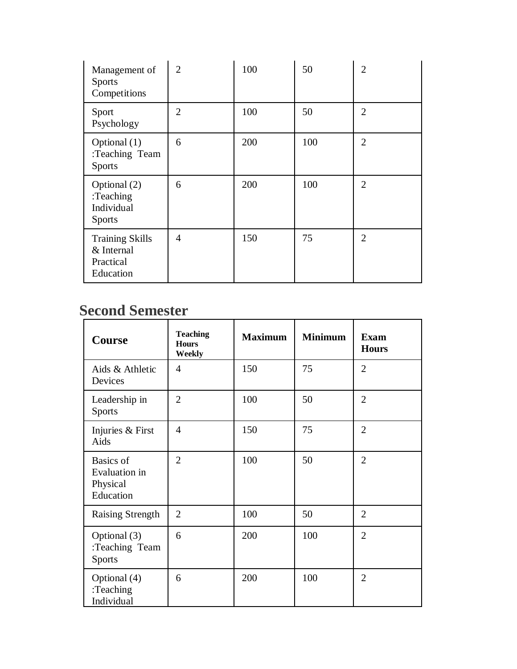| Management of<br><b>Sports</b><br>Competitions                 | $\overline{2}$ | 100 | 50  | $\overline{2}$ |
|----------------------------------------------------------------|----------------|-----|-----|----------------|
| Sport<br>Psychology                                            | $\overline{2}$ | 100 | 50  | $\overline{2}$ |
| Optional (1)<br>:Teaching Team<br><b>Sports</b>                | 6              | 200 | 100 | $\overline{2}$ |
| Optional (2)<br>:Teaching<br>Individual<br><b>Sports</b>       | 6              | 200 | 100 | $\overline{2}$ |
| <b>Training Skills</b><br>& Internal<br>Practical<br>Education | 4              | 150 | 75  | $\overline{2}$ |

| <b>Course</b>                                              | <b>Teaching</b><br><b>Hours</b><br>Weekly | <b>Maximum</b> | <b>Minimum</b> | <b>Exam</b><br><b>Hours</b> |
|------------------------------------------------------------|-------------------------------------------|----------------|----------------|-----------------------------|
| Aids & Athletic<br>Devices                                 | 4                                         | 150            | 75             | $\overline{2}$              |
| Leadership in<br><b>Sports</b>                             | $\overline{2}$                            | 100            | 50             | $\overline{2}$              |
| Injuries & First<br>Aids                                   | $\overline{A}$                            | 150            | 75             | $\overline{2}$              |
| Basics of<br><b>Evaluation</b> in<br>Physical<br>Education | $\overline{2}$                            | 100            | 50             | $\overline{2}$              |
| <b>Raising Strength</b>                                    | 2                                         | 100            | 50             | 2                           |
| Optional (3)<br>:Teaching Team<br><b>Sports</b>            | 6                                         | 200            | 100            | $\overline{2}$              |
| Optional (4)<br>:Teaching<br>Individual                    | 6                                         | 200            | 100            | $\overline{2}$              |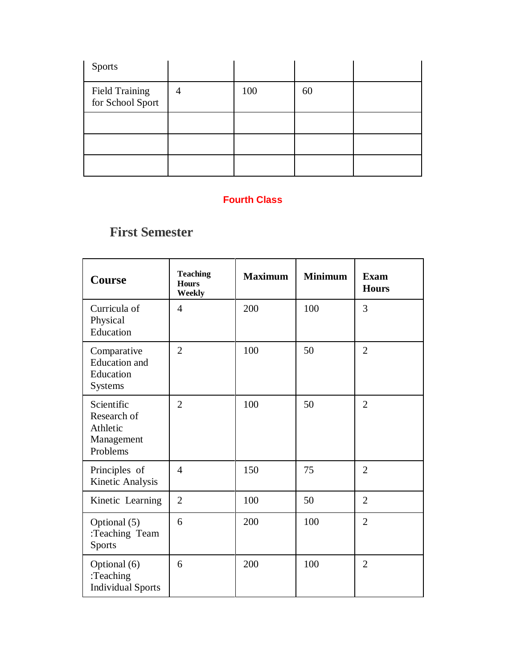| <b>Sports</b>                      |   |     |    |  |
|------------------------------------|---|-----|----|--|
| Field Training<br>for School Sport | 4 | 100 | 60 |  |
|                                    |   |     |    |  |
|                                    |   |     |    |  |
|                                    |   |     |    |  |

| Course                                                          | <b>Teaching</b><br><b>Hours</b><br>Weekly | <b>Maximum</b> | <b>Minimum</b> | <b>Exam</b><br><b>Hours</b> |
|-----------------------------------------------------------------|-------------------------------------------|----------------|----------------|-----------------------------|
| Curricula of<br>Physical<br>Education                           | $\overline{4}$                            | 200            | 100            | 3                           |
| Comparative<br><b>Education</b> and<br>Education<br>Systems     | $\overline{2}$                            | 100            | 50             | $\overline{2}$              |
| Scientific<br>Research of<br>Athletic<br>Management<br>Problems | $\overline{2}$                            | 100            | 50             | $\overline{2}$              |
| Principles of<br>Kinetic Analysis                               | $\overline{4}$                            | 150            | 75             | $\overline{2}$              |
| Kinetic Learning                                                | $\overline{2}$                            | 100            | 50             | $\overline{2}$              |
| Optional (5)<br>:Teaching Team<br><b>Sports</b>                 | 6                                         | 200            | 100            | $\overline{2}$              |
| Optional (6)<br>:Teaching<br><b>Individual Sports</b>           | 6                                         | 200            | 100            | $\overline{2}$              |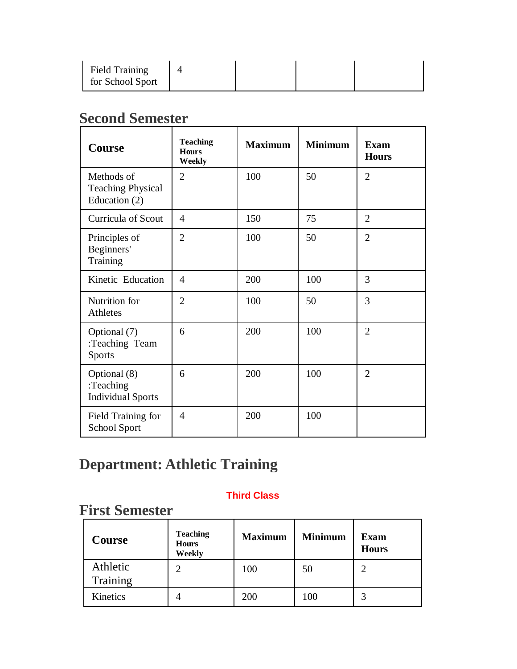| Field Training<br>for School Sport |  |  |
|------------------------------------|--|--|
|                                    |  |  |

| <b>Course</b>                                           | <b>Teaching</b><br><b>Hours</b><br>Weekly | <b>Maximum</b> | <b>Minimum</b> | <b>Exam</b><br><b>Hours</b> |
|---------------------------------------------------------|-------------------------------------------|----------------|----------------|-----------------------------|
| Methods of<br><b>Teaching Physical</b><br>Education (2) | $\overline{2}$                            | 100            | 50             | $\overline{2}$              |
| <b>Curricula of Scout</b>                               | $\overline{4}$                            | 150            | 75             | $\overline{2}$              |
| Principles of<br>Beginners'<br>Training                 | $\overline{2}$                            | 100            | 50             | $\overline{2}$              |
| Kinetic Education                                       | $\overline{4}$                            | 200            | 100            | 3                           |
| Nutrition for<br><b>Athletes</b>                        | $\overline{2}$                            | 100            | 50             | 3                           |
| Optional (7)<br>:Teaching Team<br><b>Sports</b>         | 6                                         | 200            | 100            | $\overline{2}$              |
| Optional (8)<br>:Teaching<br><b>Individual Sports</b>   | 6                                         | 200            | 100            | $\overline{2}$              |
| Field Training for<br>School Sport                      | $\overline{4}$                            | 200            | 100            |                             |

# **Department: Athletic Training**

#### **Third Class**

| <b>Course</b>        | <b>Teaching</b><br><b>Hours</b><br>Weekly | <b>Maximum</b> | <b>Minimum</b> | <b>Exam</b><br><b>Hours</b> |
|----------------------|-------------------------------------------|----------------|----------------|-----------------------------|
| Athletic<br>Training |                                           | 100            | 50             | $\mathcal{D}_{\mathcal{A}}$ |
| Kinetics             |                                           | 200            | 100            |                             |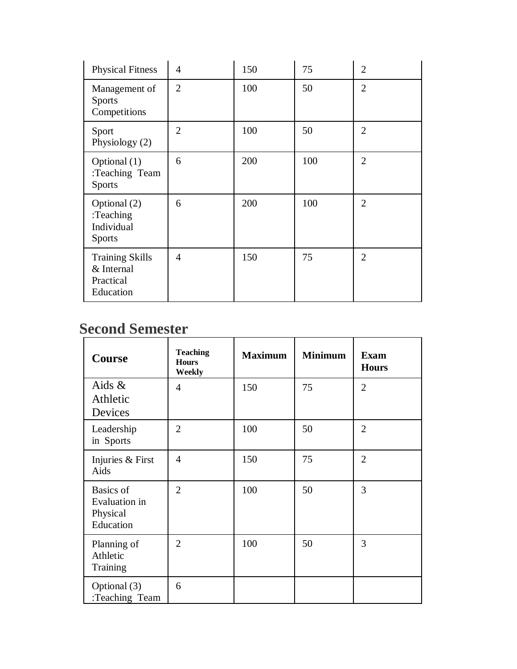| <b>Physical Fitness</b>                                        | $\overline{4}$ | 150 | 75  | $\overline{2}$ |
|----------------------------------------------------------------|----------------|-----|-----|----------------|
| Management of<br><b>Sports</b><br>Competitions                 | $\overline{2}$ | 100 | 50  | $\overline{2}$ |
| Sport<br>Physiology (2)                                        | $\overline{2}$ | 100 | 50  | $\overline{2}$ |
| Optional (1)<br>:Teaching Team<br><b>Sports</b>                | 6              | 200 | 100 | $\overline{2}$ |
| Optional (2)<br>:Teaching<br>Individual<br><b>Sports</b>       | 6              | 200 | 100 | $\overline{2}$ |
| <b>Training Skills</b><br>& Internal<br>Practical<br>Education | $\overline{4}$ | 150 | 75  | $\overline{2}$ |

| <b>Course</b>                                       | <b>Teaching</b><br><b>Hours</b><br>Weekly | <b>Maximum</b> | <b>Minimum</b> | <b>Exam</b><br><b>Hours</b> |
|-----------------------------------------------------|-------------------------------------------|----------------|----------------|-----------------------------|
| Aids $\&$<br>Athletic<br>Devices                    | $\overline{4}$                            | 150            | 75             | $\overline{2}$              |
| Leadership<br>in Sports                             | $\overline{2}$                            | 100            | 50             | $\overline{2}$              |
| Injuries & First<br>Aids                            | $\overline{4}$                            | 150            | 75             | $\overline{2}$              |
| Basics of<br>Evaluation in<br>Physical<br>Education | $\overline{2}$                            | 100            | 50             | 3                           |
| Planning of<br>Athletic<br>Training                 | $\overline{2}$                            | 100            | 50             | 3                           |
| Optional (3)<br>:Teaching Team                      | 6                                         |                |                |                             |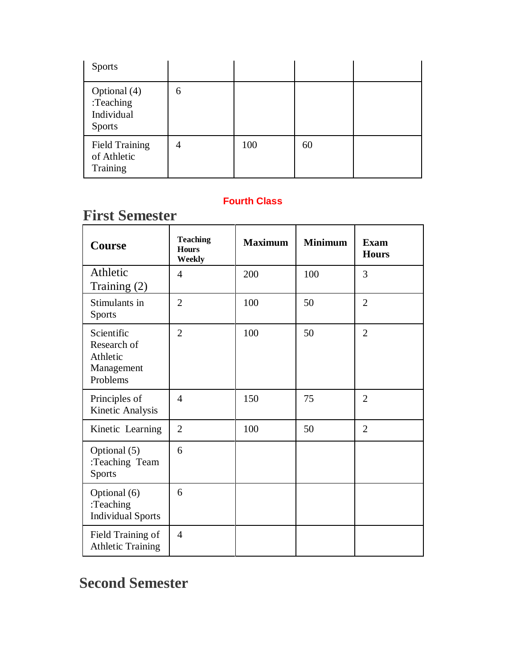| <b>Sports</b>                                            |   |     |    |  |
|----------------------------------------------------------|---|-----|----|--|
| Optional (4)<br>:Teaching<br>Individual<br><b>Sports</b> | 6 |     |    |  |
| <b>Field Training</b><br>of Athletic<br>Training         | 4 | 100 | 60 |  |

## **First Semester**

| Course                                                          | <b>Teaching</b><br><b>Hours</b><br>Weekly | <b>Maximum</b> | <b>Minimum</b> | <b>Exam</b><br><b>Hours</b> |
|-----------------------------------------------------------------|-------------------------------------------|----------------|----------------|-----------------------------|
| Athletic<br>Training (2)                                        | $\overline{4}$                            | 200            | 100            | 3                           |
| Stimulants in<br><b>Sports</b>                                  | $\overline{2}$                            | 100            | 50             | $\overline{2}$              |
| Scientific<br>Research of<br>Athletic<br>Management<br>Problems | $\overline{2}$                            | 100            | 50             | $\overline{2}$              |
| Principles of<br>Kinetic Analysis                               | $\overline{4}$                            | 150            | 75             | $\overline{2}$              |
| Kinetic Learning                                                | $\overline{2}$                            | 100            | 50             | $\overline{2}$              |
| Optional (5)<br>:Teaching Team<br>Sports                        | 6                                         |                |                |                             |
| Optional (6)<br>:Teaching<br><b>Individual Sports</b>           | 6                                         |                |                |                             |
| Field Training of<br><b>Athletic Training</b>                   | $\overline{4}$                            |                |                |                             |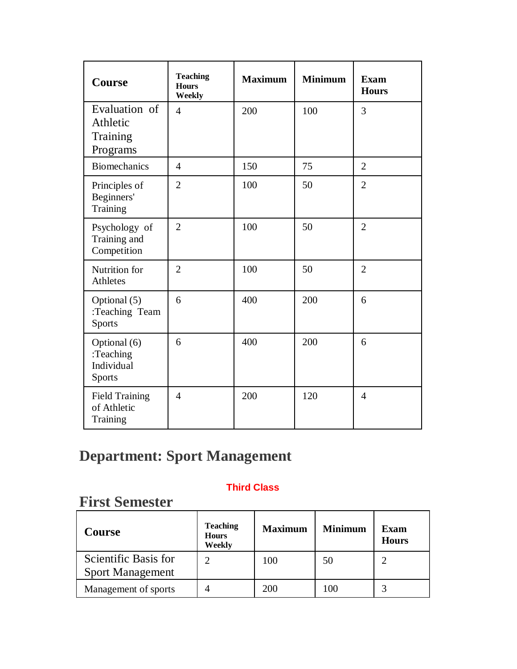| <b>Course</b>                                            | <b>Teaching</b><br><b>Hours</b><br>Weekly | <b>Maximum</b> | <b>Minimum</b> | <b>Exam</b><br><b>Hours</b> |
|----------------------------------------------------------|-------------------------------------------|----------------|----------------|-----------------------------|
| Evaluation of<br>Athletic<br>Training<br>Programs        | $\overline{4}$                            | 200            | 100            | 3                           |
| <b>Biomechanics</b>                                      | $\overline{4}$                            | 150            | 75             | $\overline{2}$              |
| Principles of<br>Beginners'<br>Training                  | $\overline{2}$                            | 100            | 50             | $\overline{2}$              |
| Psychology of<br>Training and<br>Competition             | $\overline{2}$                            | 100            | 50             | $\overline{2}$              |
| Nutrition for<br>Athletes                                | $\overline{2}$                            | 100            | 50             | $\overline{2}$              |
| Optional (5)<br>:Teaching Team<br>Sports                 | 6                                         | 400            | 200            | 6                           |
| Optional (6)<br>:Teaching<br>Individual<br><b>Sports</b> | 6                                         | 400            | 200            | 6                           |
| <b>Field Training</b><br>of Athletic<br>Training         | $\overline{4}$                            | 200            | 120            | $\overline{4}$              |

# **Department: Sport Management**

#### **Third Class**

| <b>Course</b>                                   | <b>Teaching</b><br><b>Hours</b><br>Weekly | <b>Maximum</b> | <b>Minimum</b> | <b>Exam</b><br><b>Hours</b> |
|-------------------------------------------------|-------------------------------------------|----------------|----------------|-----------------------------|
| Scientific Basis for<br><b>Sport Management</b> | $\mathcal{D}$                             | 100            | 50             |                             |
| Management of sports                            |                                           | 200            | 100            |                             |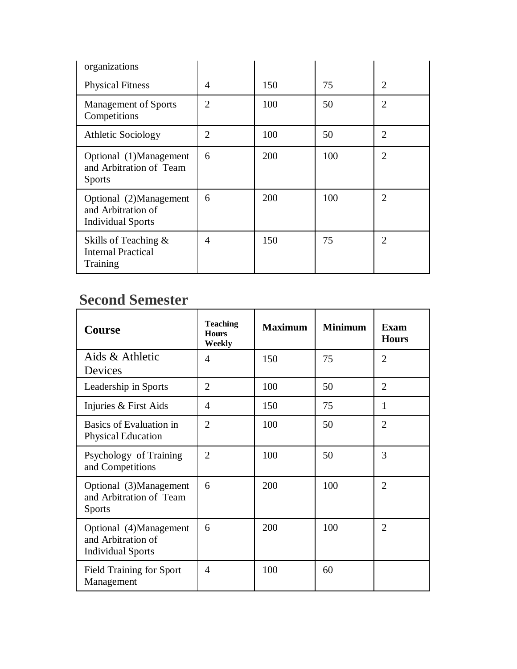| organizations                                                            |                |     |     |                |
|--------------------------------------------------------------------------|----------------|-----|-----|----------------|
| <b>Physical Fitness</b>                                                  | $\overline{4}$ | 150 | 75  | $\mathfrak{D}$ |
| <b>Management of Sports</b><br>Competitions                              | $\overline{2}$ | 100 | 50  | $\overline{2}$ |
| <b>Athletic Sociology</b>                                                | $\overline{2}$ | 100 | 50  | $\overline{2}$ |
| Optional (1)Management<br>and Arbitration of Team<br><b>Sports</b>       | 6              | 200 | 100 | $\overline{2}$ |
| Optional (2)Management<br>and Arbitration of<br><b>Individual Sports</b> | 6              | 200 | 100 | $\mathfrak{D}$ |
| Skills of Teaching $\&$<br><b>Internal Practical</b><br>Training         | $\overline{4}$ | 150 | 75  | $\mathfrak{D}$ |

| <b>Course</b>                                                            | <b>Teaching</b><br><b>Hours</b><br>Weekly | <b>Maximum</b> | <b>Minimum</b> | <b>Exam</b><br><b>Hours</b> |
|--------------------------------------------------------------------------|-------------------------------------------|----------------|----------------|-----------------------------|
| Aids & Athletic<br>Devices                                               | 4                                         | 150            | 75             | $\overline{2}$              |
| Leadership in Sports                                                     | $\overline{2}$                            | 100            | 50             | $\overline{2}$              |
| Injuries & First Aids                                                    | 4                                         | 150            | 75             | 1                           |
| Basics of Evaluation in<br><b>Physical Education</b>                     | $\overline{2}$                            | 100            | 50             | $\overline{2}$              |
| Psychology of Training<br>and Competitions                               | $\overline{2}$                            | 100            | 50             | 3                           |
| Optional (3)Management<br>and Arbitration of Team<br><b>Sports</b>       | 6                                         | 200            | 100            | $\overline{2}$              |
| Optional (4)Management<br>and Arbitration of<br><b>Individual Sports</b> | 6                                         | 200            | 100            | $\overline{2}$              |
| <b>Field Training for Sport</b><br>Management                            | $\overline{\mathcal{A}}$                  | 100            | 60             |                             |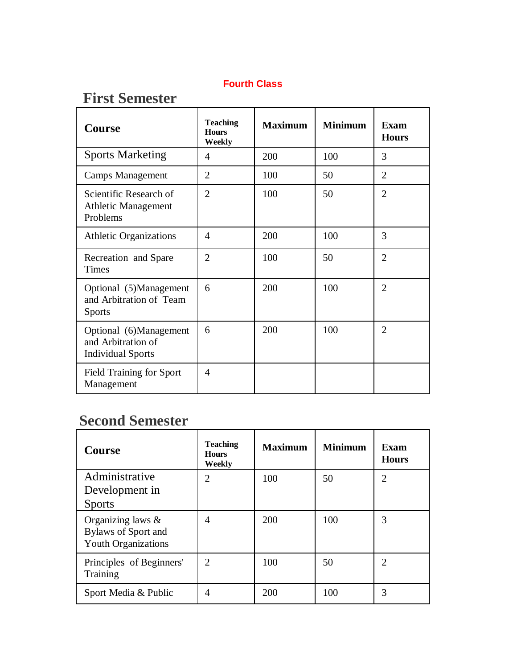### **First Semester**

| <b>Course</b>                                                            | <b>Teaching</b><br><b>Hours</b><br>Weekly | <b>Maximum</b> | <b>Minimum</b> | Exam<br><b>Hours</b> |
|--------------------------------------------------------------------------|-------------------------------------------|----------------|----------------|----------------------|
| <b>Sports Marketing</b>                                                  | 4                                         | 200            | 100            | 3                    |
| <b>Camps Management</b>                                                  | $\overline{2}$                            | 100            | 50             | $\overline{2}$       |
| Scientific Research of<br>Athletic Management<br>Problems                | $\overline{2}$                            | 100            | 50             | $\overline{2}$       |
| <b>Athletic Organizations</b>                                            | 4                                         | 200            | 100            | 3                    |
| Recreation and Spare<br>Times                                            | $\overline{2}$                            | 100            | 50             | $\overline{2}$       |
| Optional (5)Management<br>and Arbitration of Team<br><b>Sports</b>       | 6                                         | 200            | 100            | $\overline{2}$       |
| Optional (6)Management<br>and Arbitration of<br><b>Individual Sports</b> | 6                                         | 200            | 100            | $\overline{2}$       |
| <b>Field Training for Sport</b><br>Management                            | 4                                         |                |                |                      |

| <b>Course</b>                                                                    | <b>Teaching</b><br><b>Hours</b><br>Weekly | <b>Maximum</b> | <b>Minimum</b> | <b>Exam</b><br><b>Hours</b> |
|----------------------------------------------------------------------------------|-------------------------------------------|----------------|----------------|-----------------------------|
| Administrative<br>Development in                                                 | 2                                         | 100            | 50             | $\overline{2}$              |
| <b>Sports</b>                                                                    |                                           |                |                |                             |
| Organizing laws $\&$<br><b>Bylaws of Sport and</b><br><b>Youth Organizations</b> | 4                                         | 200            | 100            | 3                           |
| Principles of Beginners'<br>Training                                             | $\mathfrak{D}$                            | 100            | 50             | $\overline{2}$              |
| Sport Media & Public                                                             | 4                                         | 200            | 100            | $\mathcal{R}$               |